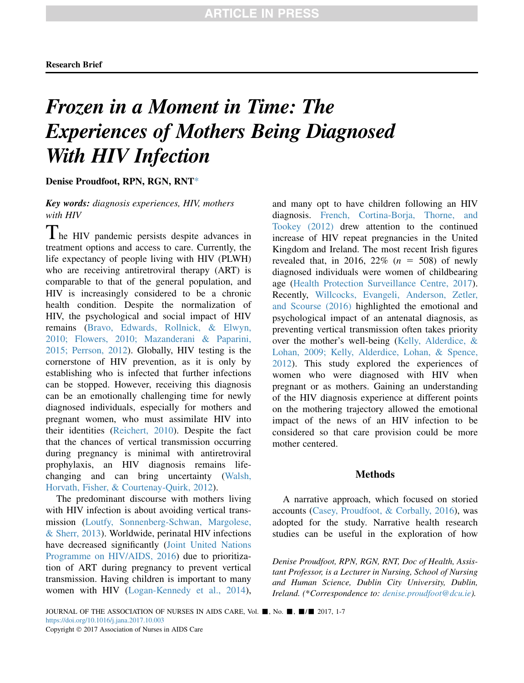# Frozen in a Moment in Time: The Experiences of Mothers Being Diagnosed With **HIV** Infection

Denise Proudfoot, RPN, RGN, RNT\*

Key words: diagnosis experiences, HIV, mothers with HIV

The HIV pandemic persists despite advances in treatment options and access to care. Currently, the life expectancy of people living with HIV (PLWH) who are receiving antiretroviral therapy (ART) is comparable to that of the general population, and HIV is increasingly considered to be a chronic health condition. Despite the normalization of HIV, the psychological and social impact of HIV remains [\(Bravo, Edwards, Rollnick, & Elwyn,](#page-5-0) [2010; Flowers, 2010; Mazanderani & Paparini,](#page-5-0) [2015; Perrson, 2012\)](#page-5-0). Globally, HIV testing is the cornerstone of HIV prevention, as it is only by establishing who is infected that further infections can be stopped. However, receiving this diagnosis can be an emotionally challenging time for newly diagnosed individuals, especially for mothers and pregnant women, who must assimilate HIV into their identities [\(Reichert, 2010\)](#page-6-0). Despite the fact that the chances of vertical transmission occurring during pregnancy is minimal with antiretroviral prophylaxis, an HIV diagnosis remains lifechanging and can bring uncertainty [\(Walsh,](#page-6-0) [Horvath, Fisher, & Courtenay-Quirk, 2012](#page-6-0)).

The predominant discourse with mothers living with HIV infection is about avoiding vertical transmission ([Loutfy, Sonnenberg-Schwan, Margolese,](#page-5-0) [& Sherr, 2013\)](#page-5-0). Worldwide, perinatal HIV infections have decreased significantly [\(Joint United Nations](#page-5-0) [Programme on HIV/AIDS, 2016\)](#page-5-0) due to prioritization of ART during pregnancy to prevent vertical transmission. Having children is important to many women with HIV ([Logan-Kennedy et al., 2014\)](#page-5-0), and many opt to have children following an HIV diagnosis. [French, Cortina-Borja, Thorne, and](#page-5-0) [Tookey \(2012\)](#page-5-0) drew attention to the continued increase of HIV repeat pregnancies in the United Kingdom and Ireland. The most recent Irish figures revealed that, in 2016, 22\%  $(n = 508)$  of newly diagnosed individuals were women of childbearing age ([Health Protection Surveillance Centre, 2017\)](#page-5-0). Recently, [Willcocks, Evangeli, Anderson, Zetler,](#page-6-0) [and Scourse \(2016\)](#page-6-0) highlighted the emotional and psychological impact of an antenatal diagnosis, as preventing vertical transmission often takes priority over the mother's well-being [\(Kelly, Alderdice, &](#page-5-0) [Lohan, 2009; Kelly, Alderdice, Lohan, & Spence,](#page-5-0) [2012\)](#page-5-0). This study explored the experiences of women who were diagnosed with HIV when pregnant or as mothers. Gaining an understanding of the HIV diagnosis experience at different points on the mothering trajectory allowed the emotional impact of the news of an HIV infection to be considered so that care provision could be more mother centered.

# Methods

A narrative approach, which focused on storied accounts ([Casey, Proudfoot, & Corbally, 2016](#page-5-0)), was adopted for the study. Narrative health research studies can be useful in the exploration of how

Denise Proudfoot, RPN, RGN, RNT, Doc of Health, Assistant Professor, is a Lecturer in Nursing, School of Nursing and Human Science, Dublin City University, Dublin, Ireland. (\*Correspondence to: [denise.proudfoot@dcu.ie](mailto:denise.proudfoot@dcu.ie)).

JOURNAL OF THE ASSOCIATION OF NURSES IN AIDS CARE, Vol.  $\blacksquare$ , No.  $\blacksquare$ ,  $\blacksquare$  / $\blacksquare$  2017, 1-7 <https://doi.org/10.1016/j.jana.2017.10.003> Copyright 2017 Association of Nurses in AIDS Care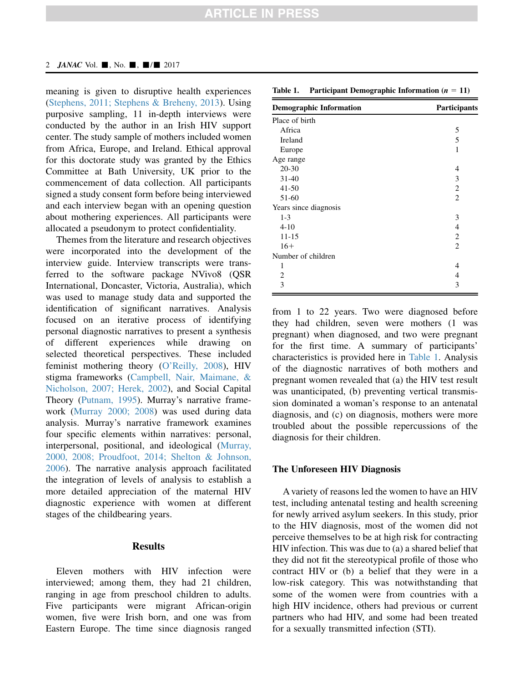#### 2 *JANAC* Vol.  $\blacksquare$ , No.  $\blacksquare$ ,  $\blacksquare/\blacksquare$  2017

meaning is given to disruptive health experiences ([Stephens, 2011; Stephens & Breheny, 2013](#page-6-0)). Using purposive sampling, 11 in-depth interviews were conducted by the author in an Irish HIV support center. The study sample of mothers included women from Africa, Europe, and Ireland. Ethical approval for this doctorate study was granted by the Ethics Committee at Bath University, UK prior to the commencement of data collection. All participants signed a study consent form before being interviewed and each interview began with an opening question about mothering experiences. All participants were allocated a pseudonym to protect confidentiality.

Themes from the literature and research objectives were incorporated into the development of the interview guide. Interview transcripts were transferred to the software package NVivo8 (QSR International, Doncaster, Victoria, Australia), which was used to manage study data and supported the identification of significant narratives. Analysis focused on an iterative process of identifying personal diagnostic narratives to present a synthesis of different experiences while drawing on selected theoretical perspectives. These included feminist mothering theory [\(O'Reilly, 2008\)](#page-5-0), HIV stigma frameworks [\(Campbell, Nair, Maimane, &](#page-5-0) [Nicholson, 2007; Herek, 2002\)](#page-5-0), and Social Capital Theory [\(Putnam, 1995](#page-6-0)). Murray's narrative framework ([Murray 2000; 2008\)](#page-5-0) was used during data analysis. Murray's narrative framework examines four specific elements within narratives: personal, interpersonal, positional, and ideological [\(Murray,](#page-5-0) [2000, 2008; Proudfoot, 2014; Shelton & Johnson,](#page-5-0) [2006\)](#page-5-0). The narrative analysis approach facilitated the integration of levels of analysis to establish a more detailed appreciation of the maternal HIV diagnostic experience with women at different stages of the childbearing years.

# **Results**

Eleven mothers with HIV infection were interviewed; among them, they had 21 children, ranging in age from preschool children to adults. Five participants were migrant African-origin women, five were Irish born, and one was from Eastern Europe. The time since diagnosis ranged

Table 1. Participant Demographic Information  $(n = 11)$ 

| <b>Demographic Information</b> | Participants   |
|--------------------------------|----------------|
| Place of birth                 |                |
| Africa                         | 5              |
| Ireland                        | 5              |
| Europe                         | 1              |
| Age range                      |                |
| $20 - 30$                      | 4              |
| $31 - 40$                      | 3              |
| $41 - 50$                      | 2              |
| 51-60                          | $\overline{2}$ |
| Years since diagnosis          |                |
| $1-3$                          | 3              |
| $4 - 10$                       | 4              |
| $11 - 15$                      | 2              |
| $16+$                          | 2              |
| Number of children             |                |
| 1                              | 4              |
| $\overline{2}$                 | 4              |
| 3                              | 3              |
|                                |                |

from 1 to 22 years. Two were diagnosed before they had children, seven were mothers (1 was pregnant) when diagnosed, and two were pregnant for the first time. A summary of participants' characteristics is provided here in Table 1. Analysis of the diagnostic narratives of both mothers and pregnant women revealed that (a) the HIV test result was unanticipated, (b) preventing vertical transmission dominated a woman's response to an antenatal diagnosis, and (c) on diagnosis, mothers were more troubled about the possible repercussions of the diagnosis for their children.

# The Unforeseen HIV Diagnosis

A variety of reasons led the women to have an HIV test, including antenatal testing and health screening for newly arrived asylum seekers. In this study, prior to the HIV diagnosis, most of the women did not perceive themselves to be at high risk for contracting HIV infection. This was due to (a) a shared belief that they did not fit the stereotypical profile of those who contract HIV or (b) a belief that they were in a low-risk category. This was notwithstanding that some of the women were from countries with a high HIV incidence, others had previous or current partners who had HIV, and some had been treated for a sexually transmitted infection (STI).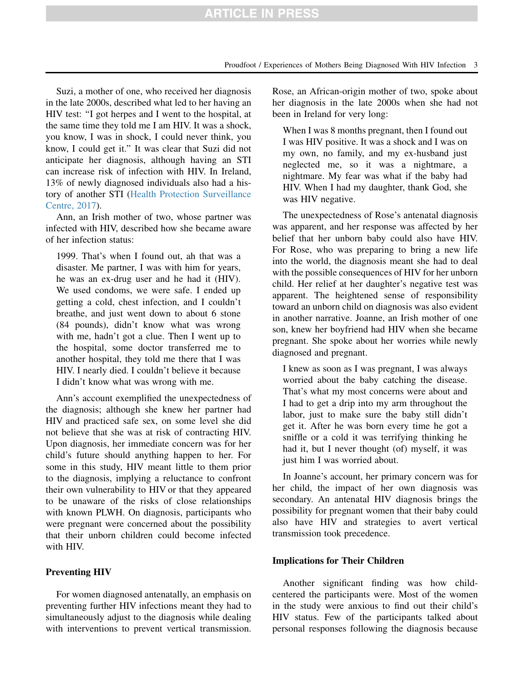# **ARTICLE IN PRESS**

Suzi, a mother of one, who received her diagnosis in the late 2000s, described what led to her having an HIV test: ''I got herpes and I went to the hospital, at the same time they told me I am HIV. It was a shock, you know, I was in shock, I could never think, you know, I could get it.'' It was clear that Suzi did not anticipate her diagnosis, although having an STI can increase risk of infection with HIV. In Ireland, 13% of newly diagnosed individuals also had a history of another STI ([Health Protection Surveillance](#page-5-0) [Centre, 2017](#page-5-0)).

Ann, an Irish mother of two, whose partner was infected with HIV, described how she became aware of her infection status:

1999. That's when I found out, ah that was a disaster. Me partner, I was with him for years, he was an ex-drug user and he had it (HIV). We used condoms, we were safe. I ended up getting a cold, chest infection, and I couldn't breathe, and just went down to about 6 stone (84 pounds), didn't know what was wrong with me, hadn't got a clue. Then I went up to the hospital, some doctor transferred me to another hospital, they told me there that I was HIV. I nearly died. I couldn't believe it because I didn't know what was wrong with me.

Ann's account exemplified the unexpectedness of the diagnosis; although she knew her partner had HIV and practiced safe sex, on some level she did not believe that she was at risk of contracting HIV. Upon diagnosis, her immediate concern was for her child's future should anything happen to her. For some in this study, HIV meant little to them prior to the diagnosis, implying a reluctance to confront their own vulnerability to HIV or that they appeared to be unaware of the risks of close relationships with known PLWH. On diagnosis, participants who were pregnant were concerned about the possibility that their unborn children could become infected with HIV.

# Preventing HIV

For women diagnosed antenatally, an emphasis on preventing further HIV infections meant they had to simultaneously adjust to the diagnosis while dealing with interventions to prevent vertical transmission.

Rose, an African-origin mother of two, spoke about her diagnosis in the late 2000s when she had not been in Ireland for very long:

When I was 8 months pregnant, then I found out I was HIV positive. It was a shock and I was on my own, no family, and my ex-husband just neglected me, so it was a nightmare, a nightmare. My fear was what if the baby had HIV. When I had my daughter, thank God, she was HIV negative.

The unexpectedness of Rose's antenatal diagnosis was apparent, and her response was affected by her belief that her unborn baby could also have HIV. For Rose, who was preparing to bring a new life into the world, the diagnosis meant she had to deal with the possible consequences of HIV for her unborn child. Her relief at her daughter's negative test was apparent. The heightened sense of responsibility toward an unborn child on diagnosis was also evident in another narrative. Joanne, an Irish mother of one son, knew her boyfriend had HIV when she became pregnant. She spoke about her worries while newly diagnosed and pregnant.

I knew as soon as I was pregnant, I was always worried about the baby catching the disease. That's what my most concerns were about and I had to get a drip into my arm throughout the labor, just to make sure the baby still didn't get it. After he was born every time he got a sniffle or a cold it was terrifying thinking he had it, but I never thought (of) myself, it was just him I was worried about.

In Joanne's account, her primary concern was for her child, the impact of her own diagnosis was secondary. An antenatal HIV diagnosis brings the possibility for pregnant women that their baby could also have HIV and strategies to avert vertical transmission took precedence.

# Implications for Their Children

Another significant finding was how childcentered the participants were. Most of the women in the study were anxious to find out their child's HIV status. Few of the participants talked about personal responses following the diagnosis because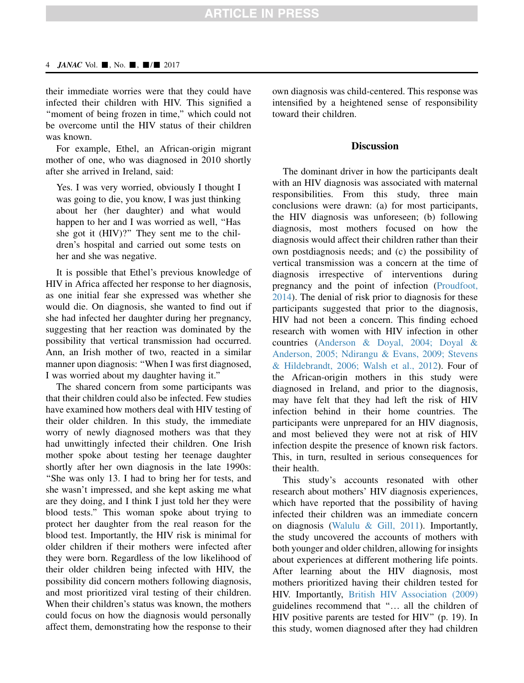# **ARTICLE IN PRESS**

#### 4 JANAC Vol.  $\blacksquare$ , No.  $\blacksquare$ ,  $\blacksquare$ / $\blacksquare$  2017

their immediate worries were that they could have infected their children with HIV. This signified a "moment of being frozen in time," which could not be overcome until the HIV status of their children was known.

For example, Ethel, an African-origin migrant mother of one, who was diagnosed in 2010 shortly after she arrived in Ireland, said:

Yes. I was very worried, obviously I thought I was going to die, you know, I was just thinking about her (her daughter) and what would happen to her and I was worried as well, ''Has she got it (HIV)?'' They sent me to the children's hospital and carried out some tests on her and she was negative.

It is possible that Ethel's previous knowledge of HIV in Africa affected her response to her diagnosis, as one initial fear she expressed was whether she would die. On diagnosis, she wanted to find out if she had infected her daughter during her pregnancy, suggesting that her reaction was dominated by the possibility that vertical transmission had occurred. Ann, an Irish mother of two, reacted in a similar manner upon diagnosis: ''When I was first diagnosed, I was worried about my daughter having it.''

The shared concern from some participants was that their children could also be infected. Few studies have examined how mothers deal with HIV testing of their older children. In this study, the immediate worry of newly diagnosed mothers was that they had unwittingly infected their children. One Irish mother spoke about testing her teenage daughter shortly after her own diagnosis in the late 1990s: ''She was only 13. I had to bring her for tests, and she wasn't impressed, and she kept asking me what are they doing, and I think I just told her they were blood tests.'' This woman spoke about trying to protect her daughter from the real reason for the blood test. Importantly, the HIV risk is minimal for older children if their mothers were infected after they were born. Regardless of the low likelihood of their older children being infected with HIV, the possibility did concern mothers following diagnosis, and most prioritized viral testing of their children. When their children's status was known, the mothers could focus on how the diagnosis would personally affect them, demonstrating how the response to their own diagnosis was child-centered. This response was intensified by a heightened sense of responsibility toward their children.

## **Discussion**

The dominant driver in how the participants dealt with an HIV diagnosis was associated with maternal responsibilities. From this study, three main conclusions were drawn: (a) for most participants, the HIV diagnosis was unforeseen; (b) following diagnosis, most mothers focused on how the diagnosis would affect their children rather than their own postdiagnosis needs; and (c) the possibility of vertical transmission was a concern at the time of diagnosis irrespective of interventions during pregnancy and the point of infection ([Proudfoot,](#page-5-0) [2014\)](#page-5-0). The denial of risk prior to diagnosis for these participants suggested that prior to the diagnosis, HIV had not been a concern. This finding echoed research with women with HIV infection in other countries ([Anderson & Doyal, 2004; Doyal &](#page-5-0) [Anderson, 2005; Ndirangu & Evans, 2009; Stevens](#page-5-0) [& Hildebrandt, 2006; Walsh et al., 2012\)](#page-5-0). Four of the African-origin mothers in this study were diagnosed in Ireland, and prior to the diagnosis, may have felt that they had left the risk of HIV infection behind in their home countries. The participants were unprepared for an HIV diagnosis, and most believed they were not at risk of HIV infection despite the presence of known risk factors. This, in turn, resulted in serious consequences for their health.

This study's accounts resonated with other research about mothers' HIV diagnosis experiences, which have reported that the possibility of having infected their children was an immediate concern on diagnosis ([Walulu & Gill, 2011\)](#page-6-0). Importantly, the study uncovered the accounts of mothers with both younger and older children, allowing for insights about experiences at different mothering life points. After learning about the HIV diagnosis, most mothers prioritized having their children tested for HIV. Importantly, [British HIV Association \(2009\)](#page-5-0) guidelines recommend that "... all the children of HIV positive parents are tested for HIV'' (p. 19). In this study, women diagnosed after they had children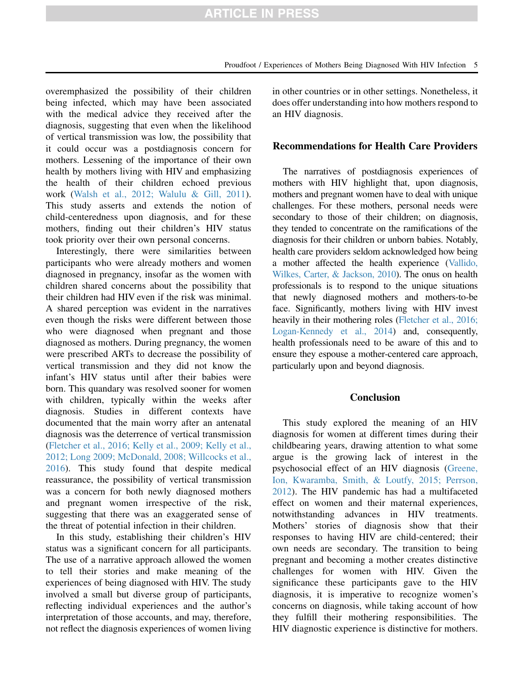overemphasized the possibility of their children being infected, which may have been associated with the medical advice they received after the diagnosis, suggesting that even when the likelihood of vertical transmission was low, the possibility that it could occur was a postdiagnosis concern for mothers. Lessening of the importance of their own health by mothers living with HIV and emphasizing the health of their children echoed previous work ([Walsh et al., 2012; Walulu & Gill, 2011\)](#page-6-0). This study asserts and extends the notion of child-centeredness upon diagnosis, and for these mothers, finding out their children's HIV status took priority over their own personal concerns.

Interestingly, there were similarities between participants who were already mothers and women diagnosed in pregnancy, insofar as the women with children shared concerns about the possibility that their children had HIV even if the risk was minimal. A shared perception was evident in the narratives even though the risks were different between those who were diagnosed when pregnant and those diagnosed as mothers. During pregnancy, the women were prescribed ARTs to decrease the possibility of vertical transmission and they did not know the infant's HIV status until after their babies were born. This quandary was resolved sooner for women with children, typically within the weeks after diagnosis. Studies in different contexts have documented that the main worry after an antenatal diagnosis was the deterrence of vertical transmission ([Fletcher et al., 2016; Kelly et al., 2009; Kelly et al.,](#page-5-0) [2012; Long 2009; McDonald, 2008; Willcocks et al.,](#page-5-0) [2016\)](#page-5-0). This study found that despite medical reassurance, the possibility of vertical transmission was a concern for both newly diagnosed mothers and pregnant women irrespective of the risk, suggesting that there was an exaggerated sense of the threat of potential infection in their children.

In this study, establishing their children's HIV status was a significant concern for all participants. The use of a narrative approach allowed the women to tell their stories and make meaning of the experiences of being diagnosed with HIV. The study involved a small but diverse group of participants, reflecting individual experiences and the author's interpretation of those accounts, and may, therefore, not reflect the diagnosis experiences of women living in other countries or in other settings. Nonetheless, it does offer understanding into how mothers respond to an HIV diagnosis.

## Recommendations for Health Care Providers

The narratives of postdiagnosis experiences of mothers with HIV highlight that, upon diagnosis, mothers and pregnant women have to deal with unique challenges. For these mothers, personal needs were secondary to those of their children; on diagnosis, they tended to concentrate on the ramifications of the diagnosis for their children or unborn babies. Notably, health care providers seldom acknowledged how being a mother affected the health experience ([Vallido,](#page-6-0) [Wilkes, Carter, & Jackson, 2010](#page-6-0)). The onus on health professionals is to respond to the unique situations that newly diagnosed mothers and mothers-to-be face. Significantly, mothers living with HIV invest heavily in their mothering roles [\(Fletcher et al., 2016;](#page-5-0) [Logan-Kennedy et al., 2014](#page-5-0)) and, consequently, health professionals need to be aware of this and to ensure they espouse a mother-centered care approach, particularly upon and beyond diagnosis.

# Conclusion

This study explored the meaning of an HIV diagnosis for women at different times during their childbearing years, drawing attention to what some argue is the growing lack of interest in the psychosocial effect of an HIV diagnosis ([Greene,](#page-5-0) [Ion, Kwaramba, Smith, & Loutfy, 2015; Perrson,](#page-5-0) [2012\)](#page-5-0). The HIV pandemic has had a multifaceted effect on women and their maternal experiences, notwithstanding advances in HIV treatments. Mothers' stories of diagnosis show that their responses to having HIV are child-centered; their own needs are secondary. The transition to being pregnant and becoming a mother creates distinctive challenges for women with HIV. Given the significance these participants gave to the HIV diagnosis, it is imperative to recognize women's concerns on diagnosis, while taking account of how they fulfill their mothering responsibilities. The HIV diagnostic experience is distinctive for mothers.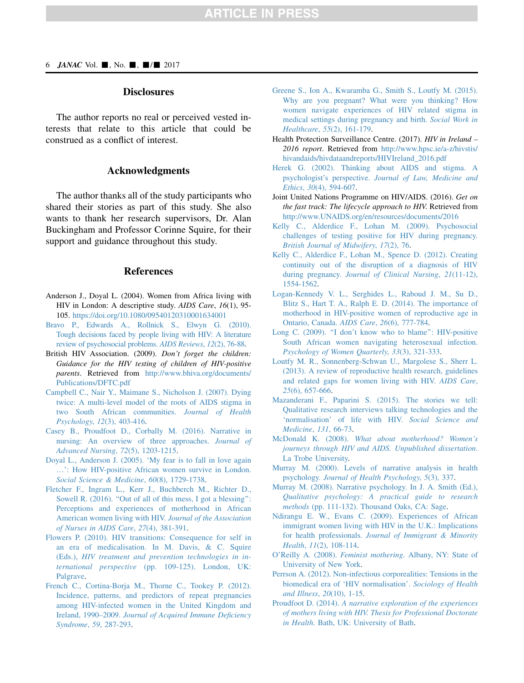## **Disclosures**

<span id="page-5-0"></span>The author reports no real or perceived vested interests that relate to this article that could be construed as a conflict of interest.

# Acknowledgments

The author thanks all of the study participants who shared their stories as part of this study. She also wants to thank her research supervisors, Dr. Alan Buckingham and Professor Corinne Squire, for their support and guidance throughout this study.

## **References**

- Anderson J., Doyal L. (2004). Women from Africa living with HIV in London: A descriptive study. AIDS Care, 16(1), 95- 105. <https://doi.org/10.1080/09540120310001634001>
- [Bravo P., Edwards A., Rollnick S., Elwyn G. \(2010\).](http://refhub.elsevier.com/S1055-3290(17)30254-6/sref2) [Tough decisions faced by people living with HIV: A literature](http://refhub.elsevier.com/S1055-3290(17)30254-6/sref2) [review of psychosocial problems.](http://refhub.elsevier.com/S1055-3290(17)30254-6/sref2) AIDS Reviews, 12(2), 76-88.
- British HIV Association. (2009). Don't forget the children: Guidance for the HIV testing of children of HIV-positive parents. Retrieved from [http://www.bhiva.org/documents/](http://www.bhiva.org/documents/Publications/DFTC.pdf) [Publications/DFTC.pdf](http://www.bhiva.org/documents/Publications/DFTC.pdf)
- [Campbell C., Nair Y., Maimane S., Nicholson J. \(2007\). Dying](http://refhub.elsevier.com/S1055-3290(17)30254-6/sref4) [twice: A multi-level model of the roots of AIDS stigma in](http://refhub.elsevier.com/S1055-3290(17)30254-6/sref4) [two South African communities.](http://refhub.elsevier.com/S1055-3290(17)30254-6/sref4) Journal of Health Psychology, 12[\(3\), 403-416](http://refhub.elsevier.com/S1055-3290(17)30254-6/sref4).
- [Casey B., Proudfoot D., Corbally M. \(2016\). Narrative in](http://refhub.elsevier.com/S1055-3290(17)30254-6/sref5) [nursing: An overview of three approaches.](http://refhub.elsevier.com/S1055-3290(17)30254-6/sref5) Journal of [Advanced Nursing](http://refhub.elsevier.com/S1055-3290(17)30254-6/sref5), 72(5), 1203-1215.
- [Doyal L., Anderson J. \(2005\). 'My fear is to fall in love again](http://refhub.elsevier.com/S1055-3290(17)30254-6/sref6) ...[': How HIV-positive African women survive in London.](http://refhub.elsevier.com/S1055-3290(17)30254-6/sref6) [Social Science & Medicine](http://refhub.elsevier.com/S1055-3290(17)30254-6/sref6), 60(8), 1729-1738.
- [Fletcher F., Ingram L., Kerr J., Buchberch M., Richter D.,](http://refhub.elsevier.com/S1055-3290(17)30254-6/sref7) [Sowell R. \(2016\). ''Out of all of this mess, I got a blessing'':](http://refhub.elsevier.com/S1055-3290(17)30254-6/sref7) [Perceptions and experiences of motherhood in African](http://refhub.elsevier.com/S1055-3290(17)30254-6/sref7) [American women living with HIV.](http://refhub.elsevier.com/S1055-3290(17)30254-6/sref7) Journal of the Association [of Nurses in AIDS Care](http://refhub.elsevier.com/S1055-3290(17)30254-6/sref7), 27(4), 381-391.
- [Flowers P. \(2010\). HIV transitions: Consequence for self in](http://refhub.elsevier.com/S1055-3290(17)30254-6/sref8) [an era of medicalisation. In M. Davis, & C. Squire](http://refhub.elsevier.com/S1055-3290(17)30254-6/sref8) (Eds.), [HIV treatment and prevention technologies in in](http://refhub.elsevier.com/S1055-3290(17)30254-6/sref8)ternational perspective [\(pp. 109-125\). London, UK:](http://refhub.elsevier.com/S1055-3290(17)30254-6/sref8) [Palgrave.](http://refhub.elsevier.com/S1055-3290(17)30254-6/sref8)
- [French C., Cortina-Borja M., Thorne C., Tookey P. \(2012\).](http://refhub.elsevier.com/S1055-3290(17)30254-6/sref9) [Incidence, patterns, and predictors of repeat pregnancies](http://refhub.elsevier.com/S1055-3290(17)30254-6/sref9) [among HIV-infected women in the United Kingdom and](http://refhub.elsevier.com/S1055-3290(17)30254-6/sref9) Ireland, 1990–2009. [Journal of Acquired Immune Deficiency](http://refhub.elsevier.com/S1055-3290(17)30254-6/sref9) [Syndrome](http://refhub.elsevier.com/S1055-3290(17)30254-6/sref9), 59, 287-293.
- [Greene S., Ion A., Kwaramba G., Smith S., Loutfy M. \(2015\).](http://refhub.elsevier.com/S1055-3290(17)30254-6/sref10) [Why are you pregnant? What were you thinking? How](http://refhub.elsevier.com/S1055-3290(17)30254-6/sref10) [women navigate experiences of HIV related stigma in](http://refhub.elsevier.com/S1055-3290(17)30254-6/sref10) [medical settings during pregnancy and birth.](http://refhub.elsevier.com/S1055-3290(17)30254-6/sref10) Social Work in Healthcare, 55[\(2\), 161-179.](http://refhub.elsevier.com/S1055-3290(17)30254-6/sref10)
- Health Protection Surveillance Centre. (2017). HIV in Ireland -2016 report. Retrieved from [http://www.hpsc.ie/a-z/hivstis/](http://www.hpsc.ie/a-z/hivstis/hivandaids/hivdataandreports/HIVIreland_2016.pdf) [hivandaids/hivdataandreports/HIVIreland\\_2016.pdf](http://www.hpsc.ie/a-z/hivstis/hivandaids/hivdataandreports/HIVIreland_2016.pdf)
- [Herek G. \(2002\). Thinking about AIDS and stigma. A](http://refhub.elsevier.com/S1055-3290(17)30254-6/sref12) psychologist's perspective. [Journal of Law, Medicine and](http://refhub.elsevier.com/S1055-3290(17)30254-6/sref12) Ethics, 30[\(4\), 594-607](http://refhub.elsevier.com/S1055-3290(17)30254-6/sref12).
- Joint United Nations Programme on HIV/AIDS. (2016). Get on the fast track: The lifecycle approach to HIV. Retrieved from <http://www.UNAIDS.org/en/resources/documents/2016>
- [Kelly C., Alderdice F., Lohan M. \(2009\). Psychosocial](http://refhub.elsevier.com/S1055-3290(17)30254-6/sref14) [challenges of testing positive for HIV during pregnancy.](http://refhub.elsevier.com/S1055-3290(17)30254-6/sref14) [British Journal of Midwifery](http://refhub.elsevier.com/S1055-3290(17)30254-6/sref14), 17(2), 76.
- [Kelly C., Alderdice F., Lohan M., Spence D. \(2012\). Creating](http://refhub.elsevier.com/S1055-3290(17)30254-6/sref15) [continuity out of the disruption of a diagnosis of HIV](http://refhub.elsevier.com/S1055-3290(17)30254-6/sref15) during pregnancy. [Journal of Clinical Nursing](http://refhub.elsevier.com/S1055-3290(17)30254-6/sref15), 21(11-12), [1554-1562.](http://refhub.elsevier.com/S1055-3290(17)30254-6/sref15)
- [Logan-Kennedy V. L., Serghides L., Raboud J. M., Su D.,](http://refhub.elsevier.com/S1055-3290(17)30254-6/sref16) [Blitz S., Hart T. A., Ralph E. D. \(2014\). The importance of](http://refhub.elsevier.com/S1055-3290(17)30254-6/sref16) [motherhood in HIV-positive women of reproductive age in](http://refhub.elsevier.com/S1055-3290(17)30254-6/sref16) [Ontario, Canada.](http://refhub.elsevier.com/S1055-3290(17)30254-6/sref16) AIDS Care, 26(6), 777-784.
- Long C. (2009). "I don't know who to blame": HIV-positive [South African women navigating heterosexual infection.](http://refhub.elsevier.com/S1055-3290(17)30254-6/sref17) [Psychology of Women Quarterly](http://refhub.elsevier.com/S1055-3290(17)30254-6/sref17), 33(3), 321-333.
- [Loutfy M. R., Sonnenberg-Schwan U., Margolese S., Sherr L.](http://refhub.elsevier.com/S1055-3290(17)30254-6/sref18) [\(2013\). A review of reproductive health research, guidelines](http://refhub.elsevier.com/S1055-3290(17)30254-6/sref18) [and related gaps for women living with HIV.](http://refhub.elsevier.com/S1055-3290(17)30254-6/sref18) AIDS Care, 25[\(6\), 657-666](http://refhub.elsevier.com/S1055-3290(17)30254-6/sref18).
- [Mazanderani F., Paparini S. \(2015\). The stories we tell:](http://refhub.elsevier.com/S1055-3290(17)30254-6/sref19) [Qualitative research interviews talking technologies and the](http://refhub.elsevier.com/S1055-3290(17)30254-6/sref19) ['normalisation' of life with HIV.](http://refhub.elsevier.com/S1055-3290(17)30254-6/sref19) Social Science and [Medicine](http://refhub.elsevier.com/S1055-3290(17)30254-6/sref19), 131, 66-73.
- McDonald K. (2008). [What about motherhood? Women's](http://refhub.elsevier.com/S1055-3290(17)30254-6/sref20) [journeys through HIV and AIDS. Unpublished dissertation](http://refhub.elsevier.com/S1055-3290(17)30254-6/sref20). [La Trobe University.](http://refhub.elsevier.com/S1055-3290(17)30254-6/sref20)
- [Murray M. \(2000\). Levels of narrative analysis in health](http://refhub.elsevier.com/S1055-3290(17)30254-6/sref21) psychology. [Journal of Health Psychology](http://refhub.elsevier.com/S1055-3290(17)30254-6/sref21), 5(3), 337.
- [Murray M. \(2008\). Narrative psychology. In J. A. Smith \(Ed.\),](http://refhub.elsevier.com/S1055-3290(17)30254-6/sref22) [Qualitative psychology: A practical guide to research](http://refhub.elsevier.com/S1055-3290(17)30254-6/sref22) methods [\(pp. 111-132\). Thousand Oaks, CA: Sage](http://refhub.elsevier.com/S1055-3290(17)30254-6/sref22).
- [Ndirangu E. W., Evans C. \(2009\). Experiences of African](http://refhub.elsevier.com/S1055-3290(17)30254-6/sref23) [immigrant women living with HIV in the U.K.: Implications](http://refhub.elsevier.com/S1055-3290(17)30254-6/sref23) for health professionals. [Journal of Immigrant & Minority](http://refhub.elsevier.com/S1055-3290(17)30254-6/sref23) Health, 11[\(2\), 108-114](http://refhub.elsevier.com/S1055-3290(17)30254-6/sref23).
- O'Reilly A. (2008). Feminist mothering[. Albany, NY: State of](http://refhub.elsevier.com/S1055-3290(17)30254-6/sref24) [University of New York](http://refhub.elsevier.com/S1055-3290(17)30254-6/sref24).
- [Perrson A. \(2012\). Non-infectious corporealities: Tensions in the](http://refhub.elsevier.com/S1055-3290(17)30254-6/sref25) [biomedical era of 'HIV normalisation'.](http://refhub.elsevier.com/S1055-3290(17)30254-6/sref25) Sociology of Health [and Illness](http://refhub.elsevier.com/S1055-3290(17)30254-6/sref25), 20(10), 1-15.
- Proudfoot D. (2014). [A narrative exploration of the experiences](http://refhub.elsevier.com/S1055-3290(17)30254-6/sref26) [of mothers living with HIV. Thesis for Professional Doctorate](http://refhub.elsevier.com/S1055-3290(17)30254-6/sref26) in Health[. Bath, UK: University of Bath](http://refhub.elsevier.com/S1055-3290(17)30254-6/sref26).